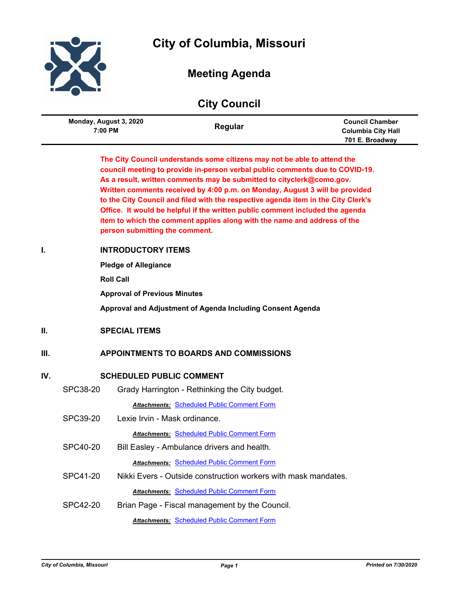

# **City of Columbia, Missouri**

# **Meeting Agenda**

|      | <b>City Council</b>               |                                                                                                                                                                                   |                                                                                                                                                                                                                                                                                                                                                                                                                                                                                                                                                                    |                                                                        |  |
|------|-----------------------------------|-----------------------------------------------------------------------------------------------------------------------------------------------------------------------------------|--------------------------------------------------------------------------------------------------------------------------------------------------------------------------------------------------------------------------------------------------------------------------------------------------------------------------------------------------------------------------------------------------------------------------------------------------------------------------------------------------------------------------------------------------------------------|------------------------------------------------------------------------|--|
|      | Monday, August 3, 2020<br>7:00 PM |                                                                                                                                                                                   | Regular                                                                                                                                                                                                                                                                                                                                                                                                                                                                                                                                                            | <b>Council Chamber</b><br><b>Columbia City Hall</b><br>701 E. Broadway |  |
|      |                                   | person submitting the comment.                                                                                                                                                    | The City Council understands some citizens may not be able to attend the<br>council meeting to provide in-person verbal public comments due to COVID-19.<br>As a result, written comments may be submitted to cityclerk@como.gov.<br>Written comments received by 4:00 p.m. on Monday, August 3 will be provided<br>to the City Council and filed with the respective agenda item in the City Clerk's<br>Office. It would be helpful if the written public comment included the agenda<br>item to which the comment applies along with the name and address of the |                                                                        |  |
| I.   |                                   | <b>INTRODUCTORY ITEMS</b><br><b>Pledge of Allegiance</b><br><b>Roll Call</b><br><b>Approval of Previous Minutes</b><br>Approval and Adjustment of Agenda Including Consent Agenda |                                                                                                                                                                                                                                                                                                                                                                                                                                                                                                                                                                    |                                                                        |  |
| II.  |                                   | <b>SPECIAL ITEMS</b>                                                                                                                                                              |                                                                                                                                                                                                                                                                                                                                                                                                                                                                                                                                                                    |                                                                        |  |
| III. |                                   |                                                                                                                                                                                   | <b>APPOINTMENTS TO BOARDS AND COMMISSIONS</b>                                                                                                                                                                                                                                                                                                                                                                                                                                                                                                                      |                                                                        |  |
| IV.  |                                   | <b>SCHEDULED PUBLIC COMMENT</b>                                                                                                                                                   |                                                                                                                                                                                                                                                                                                                                                                                                                                                                                                                                                                    |                                                                        |  |
|      | SPC38-20                          |                                                                                                                                                                                   | Grady Harrington - Rethinking the City budget.                                                                                                                                                                                                                                                                                                                                                                                                                                                                                                                     |                                                                        |  |
|      | SPC39-20                          | Lexie Irvin - Mask ordinance.                                                                                                                                                     | <b>Attachments: Scheduled Public Comment Form</b>                                                                                                                                                                                                                                                                                                                                                                                                                                                                                                                  |                                                                        |  |
|      | <b>SPC40-20</b>                   |                                                                                                                                                                                   | <b>Attachments: Scheduled Public Comment Form</b><br>Bill Easley - Ambulance drivers and health.                                                                                                                                                                                                                                                                                                                                                                                                                                                                   |                                                                        |  |
|      |                                   |                                                                                                                                                                                   | <b>Attachments: Scheduled Public Comment Form</b>                                                                                                                                                                                                                                                                                                                                                                                                                                                                                                                  |                                                                        |  |
|      | SPC41-20                          |                                                                                                                                                                                   | Nikki Evers - Outside construction workers with mask mandates.                                                                                                                                                                                                                                                                                                                                                                                                                                                                                                     |                                                                        |  |
|      |                                   |                                                                                                                                                                                   | <b>Attachments: Scheduled Public Comment Form</b>                                                                                                                                                                                                                                                                                                                                                                                                                                                                                                                  |                                                                        |  |
|      | <b>SPC42-20</b>                   |                                                                                                                                                                                   | Brian Page - Fiscal management by the Council.                                                                                                                                                                                                                                                                                                                                                                                                                                                                                                                     |                                                                        |  |
|      |                                   |                                                                                                                                                                                   | <b>Attachments: Scheduled Public Comment Form</b>                                                                                                                                                                                                                                                                                                                                                                                                                                                                                                                  |                                                                        |  |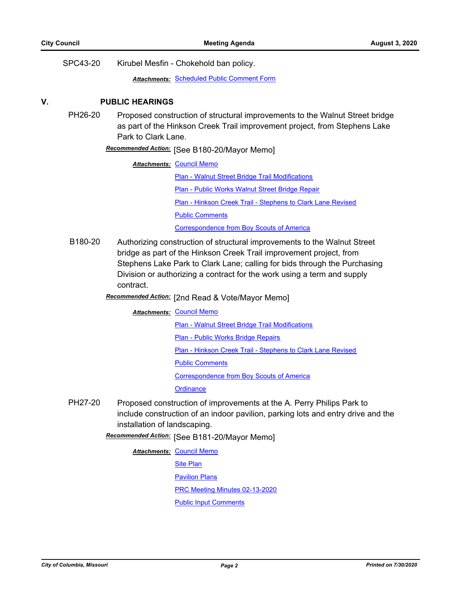SPC43-20 Kirubel Mesfin - Chokehold ban policy.

*Attachments:* [Scheduled Public Comment Form](http://gocolumbiamo.legistar.com/gateway.aspx?M=F&ID=b32ad8ba-92cf-4c4b-af12-cf0d5008260d.pdf)

### **V. PUBLIC HEARINGS**

PH26-20 Proposed construction of structural improvements to the Walnut Street bridge as part of the Hinkson Creek Trail improvement project, from Stephens Lake Park to Clark Lane.

# [See B180-20/Mayor Memo] *Recommended Action:*

**Attachments: [Council Memo](http://gocolumbiamo.legistar.com/gateway.aspx?M=F&ID=a12d419e-c0bd-40ef-8b33-a8751cdcbac6.docx)** 

[Plan - Walnut Street Bridge Trail Modifications](http://gocolumbiamo.legistar.com/gateway.aspx?M=F&ID=349e932e-d837-4b0c-83a6-ce3fc909f4b6.pdf) [Plan - Public Works Walnut Street Bridge Repair](http://gocolumbiamo.legistar.com/gateway.aspx?M=F&ID=06c0a50c-cfae-417d-9508-031b16d4c7ab.pdf) [Plan - Hinkson Creek Trail - Stephens to Clark Lane Revised](http://gocolumbiamo.legistar.com/gateway.aspx?M=F&ID=fb554072-ad3c-4dc7-8571-0c3fd33b45ca.pdf) [Public Comments](http://gocolumbiamo.legistar.com/gateway.aspx?M=F&ID=5c54b978-faf3-4340-94bb-c0b6f0bbbed9.pdf) [Correspondence from Boy Scouts of America](http://gocolumbiamo.legistar.com/gateway.aspx?M=F&ID=efaf0286-aaf1-4e19-859b-26709403a5cb.pdf)

B180-20 Authorizing construction of structural improvements to the Walnut Street bridge as part of the Hinkson Creek Trail improvement project, from Stephens Lake Park to Clark Lane; calling for bids through the Purchasing Division or authorizing a contract for the work using a term and supply contract.

# Recommended Action: [2nd Read & Vote/Mayor Memo]

#### **Attachments: [Council Memo](http://gocolumbiamo.legistar.com/gateway.aspx?M=F&ID=5feb8da8-c749-466c-a0ca-d281ba83708b.docx)**

[Plan - Walnut Street Bridge Trail Modifications](http://gocolumbiamo.legistar.com/gateway.aspx?M=F&ID=23d9a92a-0979-4344-88ca-200bb5b841be.pdf)

[Plan - Public Works Bridge Repairs](http://gocolumbiamo.legistar.com/gateway.aspx?M=F&ID=d74fdd7d-0582-4d85-a71e-2293e46d9e0a.pdf)

[Plan - Hinkson Creek Trail - Stephens to Clark Lane Revised](http://gocolumbiamo.legistar.com/gateway.aspx?M=F&ID=75164c94-84ca-4d8f-af07-1cb6cbe0dedb.pdf)

[Public Comments](http://gocolumbiamo.legistar.com/gateway.aspx?M=F&ID=7de2d418-18c6-4cf3-b67b-fd0e198a641b.pdf)

[Correspondence from Boy Scouts of America](http://gocolumbiamo.legistar.com/gateway.aspx?M=F&ID=8fafae1d-7e02-473b-a719-df13c45b8bf7.pdf)

**[Ordinance](http://gocolumbiamo.legistar.com/gateway.aspx?M=F&ID=6b81408e-2cae-44dd-a6ef-f40d7746545c.doc)** 

PH27-20 Proposed construction of improvements at the A. Perry Philips Park to include construction of an indoor pavilion, parking lots and entry drive and the installation of landscaping.

[See B181-20/Mayor Memo] *Recommended Action:*

#### **Attachments: [Council Memo](http://gocolumbiamo.legistar.com/gateway.aspx?M=F&ID=a9b80612-d84a-4d95-a688-435eba382a4a.docx)**

**[Site Plan](http://gocolumbiamo.legistar.com/gateway.aspx?M=F&ID=eebd3c28-6082-4a03-a826-0fabe22037d8.pdf)** 

[Pavilion Plans](http://gocolumbiamo.legistar.com/gateway.aspx?M=F&ID=134d9f95-0c10-46ce-b4dc-541099707b18.pdf)

[PRC Meeting Minutes 02-13-2020](http://gocolumbiamo.legistar.com/gateway.aspx?M=F&ID=8d236ea1-99d7-4723-a549-a95224c8e37e.pdf)

[Public Input Comments](http://gocolumbiamo.legistar.com/gateway.aspx?M=F&ID=8dc874b1-c474-4e64-a59a-e5ce6196aa0d.pdf)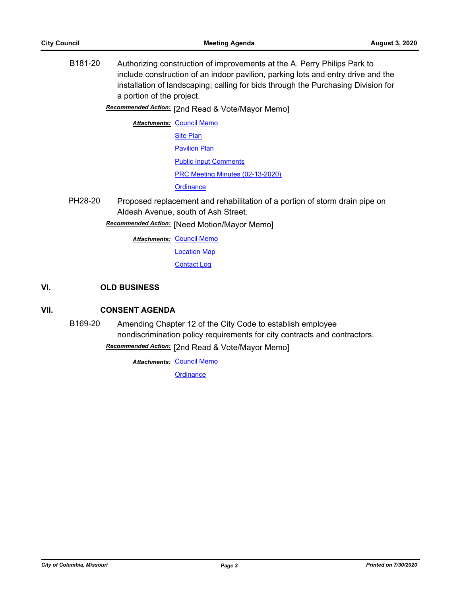B181-20 Authorizing construction of improvements at the A. Perry Philips Park to include construction of an indoor pavilion, parking lots and entry drive and the installation of landscaping; calling for bids through the Purchasing Division for a portion of the project.

**Recommended Action:** [2nd Read & Vote/Mayor Memo]

**Attachments: [Council Memo](http://gocolumbiamo.legistar.com/gateway.aspx?M=F&ID=5477b6cb-0b49-4d96-90f4-d43d6ee5f851.docx)** [Site Plan](http://gocolumbiamo.legistar.com/gateway.aspx?M=F&ID=509d6acf-0810-4b50-8150-41437074c31e.pdf) **[Pavilion Plan](http://gocolumbiamo.legistar.com/gateway.aspx?M=F&ID=9f551aad-1161-4cd2-accd-b1538d4bc9f1.pdf)** [Public Input Comments](http://gocolumbiamo.legistar.com/gateway.aspx?M=F&ID=9c24a127-7b2f-4ead-bd24-a46e1cbeadba.pdf) [PRC Meeting Minutes \(02-13-2020\)](http://gocolumbiamo.legistar.com/gateway.aspx?M=F&ID=8170ee82-13aa-4483-8428-b65c5946e129.pdf) **[Ordinance](http://gocolumbiamo.legistar.com/gateway.aspx?M=F&ID=925705bc-6ebd-4e56-9d6d-01c262b51e71.doc)** 

PH28-20 Proposed replacement and rehabilitation of a portion of storm drain pipe on Aldeah Avenue, south of Ash Street.

[Need Motion/Mayor Memo] *Recommended Action:*

**Attachments: [Council Memo](http://gocolumbiamo.legistar.com/gateway.aspx?M=F&ID=2ec5b05e-ec67-4aac-a28d-dced0df08ecb.docx)** 

[Location Map](http://gocolumbiamo.legistar.com/gateway.aspx?M=F&ID=9cd9ce4a-53fb-48a8-bc08-5fcf6a544d99.pdf)

[Contact Log](http://gocolumbiamo.legistar.com/gateway.aspx?M=F&ID=349960db-16d0-45ec-a3f8-9a91442b401c.pdf)

# **VI. OLD BUSINESS**

## **VII. CONSENT AGENDA**

B169-20 Amending Chapter 12 of the City Code to establish employee nondiscrimination policy requirements for city contracts and contractors.

**Recommended Action:** [2nd Read & Vote/Mayor Memo]

**Attachments: [Council Memo](http://gocolumbiamo.legistar.com/gateway.aspx?M=F&ID=201b683a-f207-4f6f-b6e7-098cddce3903.docx)**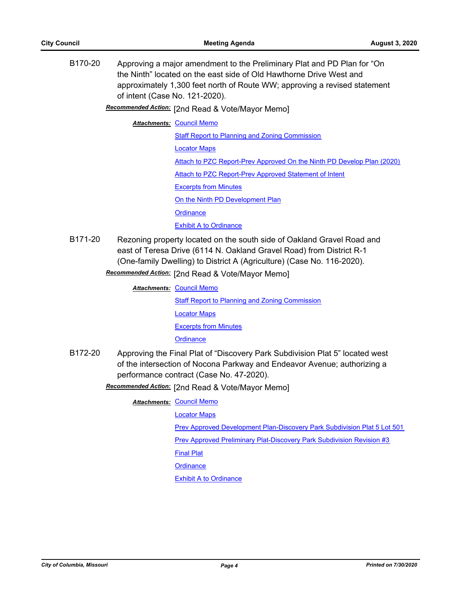B170-20 Approving a major amendment to the Preliminary Plat and PD Plan for "On the Ninth" located on the east side of Old Hawthorne Drive West and approximately 1,300 feet north of Route WW; approving a revised statement of intent (Case No. 121-2020).

Recommended Action: [2nd Read & Vote/Mayor Memo]

#### **Attachments: [Council Memo](http://gocolumbiamo.legistar.com/gateway.aspx?M=F&ID=ec572fb8-cfb1-4948-bdb2-a58397f2a980.docx)**

**[Staff Report to Planning and Zoning Commission](http://gocolumbiamo.legistar.com/gateway.aspx?M=F&ID=56143f67-4e0b-43ec-a769-036820ede2d5.docx)** [Locator Maps](http://gocolumbiamo.legistar.com/gateway.aspx?M=F&ID=596ffe41-3a6a-4be3-9a05-5c804897cbf5.pdf) [Attach to PZC Report-Prev Approved On the Ninth PD Develop Plan \(2020\)](http://gocolumbiamo.legistar.com/gateway.aspx?M=F&ID=34a8d655-e9c7-4efd-9190-cfe27f6fe63d.pdf) [Attach to PZC Report-Prev Approved Statement of Intent](http://gocolumbiamo.legistar.com/gateway.aspx?M=F&ID=4c406f7b-977a-4fa3-bea8-d3a1ada76a74.pdf) [Excerpts from Minutes](http://gocolumbiamo.legistar.com/gateway.aspx?M=F&ID=a04c9452-6d3c-4c91-b06a-0bd684d1b3a6.docx) [On the Ninth PD Development Plan](http://gocolumbiamo.legistar.com/gateway.aspx?M=F&ID=60b6e7ba-1b95-42c0-9f7c-dffacaa724e3.pdf) **[Ordinance](http://gocolumbiamo.legistar.com/gateway.aspx?M=F&ID=f6be5e0e-539a-4731-8118-176e97c9b5b1.doc)** [Exhibit A to Ordinance](http://gocolumbiamo.legistar.com/gateway.aspx?M=F&ID=e570dd3f-09a7-466b-bc20-92e8438cb417.pdf)

B171-20 Rezoning property located on the south side of Oakland Gravel Road and east of Teresa Drive (6114 N. Oakland Gravel Road) from District R-1 (One-family Dwelling) to District A (Agriculture) (Case No. 116-2020).

**Recommended Action:** [2nd Read & Vote/Mayor Memo]

**Attachments: [Council Memo](http://gocolumbiamo.legistar.com/gateway.aspx?M=F&ID=8384485a-b6f1-49f2-b381-466f3184050c.docx)** [Staff Report to Planning and Zoning Commission](http://gocolumbiamo.legistar.com/gateway.aspx?M=F&ID=cd6deb5a-a685-4b32-b27e-e4d815e62302.docx) [Locator Maps](http://gocolumbiamo.legistar.com/gateway.aspx?M=F&ID=e16e04f5-dee1-46eb-a8fe-409330b141b7.pdf) [Excerpts from Minutes](http://gocolumbiamo.legistar.com/gateway.aspx?M=F&ID=7f4c3b5f-3553-419e-b7ff-cf3035646d2b.docx) **[Ordinance](http://gocolumbiamo.legistar.com/gateway.aspx?M=F&ID=18544ca4-dff1-483c-8f34-1ec0ad02c6b3.doc)** 

B172-20 Approving the Final Plat of "Discovery Park Subdivision Plat 5" located west of the intersection of Nocona Parkway and Endeavor Avenue; authorizing a performance contract (Case No. 47-2020).

Recommended Action: [2nd Read & Vote/Mayor Memo]

**Attachments: [Council Memo](http://gocolumbiamo.legistar.com/gateway.aspx?M=F&ID=71f70249-8d4d-4317-81cf-9a3e20385517.docx)** 

[Locator Maps](http://gocolumbiamo.legistar.com/gateway.aspx?M=F&ID=d9b69f1d-11c6-45a3-8feb-e9521a213a87.pdf)

[Prev Approved Development Plan-Discovery Park Subdivision Plat 5 Lot 501](http://gocolumbiamo.legistar.com/gateway.aspx?M=F&ID=f3e22815-faac-42e4-93a6-0230462c1d6e.pdf)

[Prev Approved Preliminary Plat-Discovery Park Subdivision Revision #3](http://gocolumbiamo.legistar.com/gateway.aspx?M=F&ID=45c63a12-15a3-4b25-a06c-fdf6bfb523dc.pdf)

[Final Plat](http://gocolumbiamo.legistar.com/gateway.aspx?M=F&ID=73952b24-36ea-4b34-8ae2-696856047eb4.pdf)

**[Ordinance](http://gocolumbiamo.legistar.com/gateway.aspx?M=F&ID=cd9340ea-2979-4e9d-8e71-d83ed3f111fb.doc)**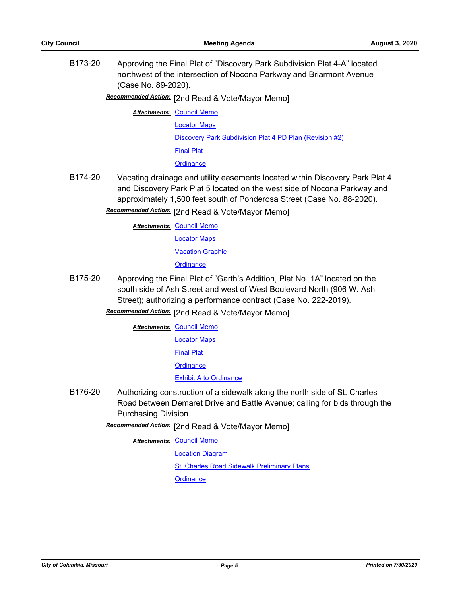B173-20 Approving the Final Plat of "Discovery Park Subdivision Plat 4-A" located northwest of the intersection of Nocona Parkway and Briarmont Avenue (Case No. 89-2020).

Recommended Action: [2nd Read & Vote/Mayor Memo]

**Attachments: [Council Memo](http://gocolumbiamo.legistar.com/gateway.aspx?M=F&ID=422df1df-6638-4676-a2c1-174309ddb4ac.docx)** 

[Locator Maps](http://gocolumbiamo.legistar.com/gateway.aspx?M=F&ID=7b6d6d3c-9079-4501-b882-cccce64cf69b.pdf)

[Discovery Park Subdivision Plat 4 PD Plan \(Revision #2\)](http://gocolumbiamo.legistar.com/gateway.aspx?M=F&ID=6f9a4f27-be6c-4077-a658-a6242b11c959.pdf)

[Final Plat](http://gocolumbiamo.legistar.com/gateway.aspx?M=F&ID=093eca53-71ee-42ce-a691-ccd0ac7f71c0.pdf)

**[Ordinance](http://gocolumbiamo.legistar.com/gateway.aspx?M=F&ID=952e08ff-c539-45f6-9ee3-6bf84bed835b.doc)** 

B174-20 Vacating drainage and utility easements located within Discovery Park Plat 4 and Discovery Park Plat 5 located on the west side of Nocona Parkway and approximately 1,500 feet south of Ponderosa Street (Case No. 88-2020).

Recommended Action: [2nd Read & Vote/Mayor Memo]

**Attachments: [Council Memo](http://gocolumbiamo.legistar.com/gateway.aspx?M=F&ID=6096151a-eeb7-401c-ac0c-d549232e792e.docx)** 

[Locator Maps](http://gocolumbiamo.legistar.com/gateway.aspx?M=F&ID=600f3509-89df-4f2e-acac-ad014bebbd95.pdf)

[Vacation Graphic](http://gocolumbiamo.legistar.com/gateway.aspx?M=F&ID=680796ca-56aa-4cac-a2dd-d763c1361833.pdf)

**[Ordinance](http://gocolumbiamo.legistar.com/gateway.aspx?M=F&ID=b678c0f8-3821-4949-83ca-0e8782c374fe.doc)** 

B175-20 Approving the Final Plat of "Garth's Addition, Plat No. 1A" located on the south side of Ash Street and west of West Boulevard North (906 W. Ash Street); authorizing a performance contract (Case No. 222-2019).

Recommended Action: [2nd Read & Vote/Mayor Memo]

**Attachments: [Council Memo](http://gocolumbiamo.legistar.com/gateway.aspx?M=F&ID=444f47fd-241d-4f48-a9be-830e9512c4a7.docx)** 

[Locator Maps](http://gocolumbiamo.legistar.com/gateway.aspx?M=F&ID=7cb2e5e0-50a1-4e4e-b38e-f44181550e37.pdf)

[Final Plat](http://gocolumbiamo.legistar.com/gateway.aspx?M=F&ID=e25c1332-fc75-4c9e-abb5-7dfc00d20210.pdf)

**[Ordinance](http://gocolumbiamo.legistar.com/gateway.aspx?M=F&ID=0e6c8a66-254d-4323-9f7c-9ffc1931f041.doc)** 

[Exhibit A to Ordinance](http://gocolumbiamo.legistar.com/gateway.aspx?M=F&ID=14d2450d-e322-4863-87da-0d401208e09a.pdf)

B176-20 Authorizing construction of a sidewalk along the north side of St. Charles Road between Demaret Drive and Battle Avenue; calling for bids through the Purchasing Division.

Recommended Action: [2nd Read & Vote/Mayor Memo]

**Attachments: [Council Memo](http://gocolumbiamo.legistar.com/gateway.aspx?M=F&ID=c3916b8a-8adb-4e7f-b605-a017b6bf2682.docx)** 

[Location Diagram](http://gocolumbiamo.legistar.com/gateway.aspx?M=F&ID=02fbb094-8549-44c0-bceb-5643e4bb5947.pdf)

[St. Charles Road Sidewalk Preliminary Plans](http://gocolumbiamo.legistar.com/gateway.aspx?M=F&ID=d768527d-4c1b-4b02-8b53-c7c1b315aef2.pdf)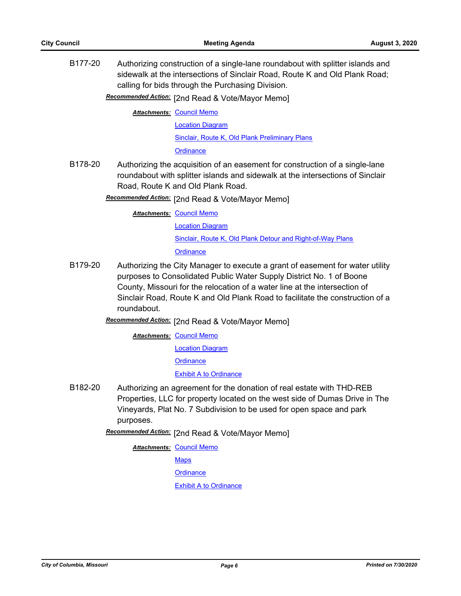B177-20 Authorizing construction of a single-lane roundabout with splitter islands and sidewalk at the intersections of Sinclair Road, Route K and Old Plank Road; calling for bids through the Purchasing Division.

Recommended Action: [2nd Read & Vote/Mayor Memo]

**Attachments: [Council Memo](http://gocolumbiamo.legistar.com/gateway.aspx?M=F&ID=e32c4447-c7ce-443a-bdf4-7d9441869d07.docx)** 

[Location Diagram](http://gocolumbiamo.legistar.com/gateway.aspx?M=F&ID=497e1732-d5d3-42cd-b944-fd1c9573015e.pdf)

[Sinclair, Route K, Old Plank Preliminary Plans](http://gocolumbiamo.legistar.com/gateway.aspx?M=F&ID=757ccf89-62d5-40f0-a220-ef1b0f12fff1.pdf)

**[Ordinance](http://gocolumbiamo.legistar.com/gateway.aspx?M=F&ID=dcff034e-957b-41ed-8172-84f64c4b71f1.doc)** 

B178-20 Authorizing the acquisition of an easement for construction of a single-lane roundabout with splitter islands and sidewalk at the intersections of Sinclair Road, Route K and Old Plank Road.

**Recommended Action:** [2nd Read & Vote/Mayor Memo]

**Attachments: [Council Memo](http://gocolumbiamo.legistar.com/gateway.aspx?M=F&ID=1b3e8324-d59e-4d4d-a377-fdffe4cc44f0.docx)** 

[Location Diagram](http://gocolumbiamo.legistar.com/gateway.aspx?M=F&ID=c5fdea5d-68a3-40da-b64e-d209382e0f6e.pdf)

[Sinclair, Route K, Old Plank Detour and Right-of-Way Plans](http://gocolumbiamo.legistar.com/gateway.aspx?M=F&ID=76ffaf11-dafa-462a-9ce8-ea9cc81e71dd.pdf)

**[Ordinance](http://gocolumbiamo.legistar.com/gateway.aspx?M=F&ID=1e19f520-a189-4bf6-831d-953ff90093bb.doc)** 

B179-20 Authorizing the City Manager to execute a grant of easement for water utility purposes to Consolidated Public Water Supply District No. 1 of Boone County, Missouri for the relocation of a water line at the intersection of Sinclair Road, Route K and Old Plank Road to facilitate the construction of a roundabout.

Recommended Action: [2nd Read & Vote/Mayor Memo]

**Attachments: [Council Memo](http://gocolumbiamo.legistar.com/gateway.aspx?M=F&ID=a4681b60-de93-4f8a-92df-b41290b0d884.docx)** [Location Diagram](http://gocolumbiamo.legistar.com/gateway.aspx?M=F&ID=7787b260-368a-4fb2-800d-6be6fe88adba.pdf) **[Ordinance](http://gocolumbiamo.legistar.com/gateway.aspx?M=F&ID=d6f32365-8e71-493c-b32b-ee57d4f5da29.doc)** [Exhibit A to Ordinance](http://gocolumbiamo.legistar.com/gateway.aspx?M=F&ID=684895af-2d06-46d5-85e5-ee6e84e6b2d0.pdf)

B182-20 Authorizing an agreement for the donation of real estate with THD-REB Properties, LLC for property located on the west side of Dumas Drive in The Vineyards, Plat No. 7 Subdivision to be used for open space and park purposes.

**Recommended Action:** [2nd Read & Vote/Mayor Memo]

**Attachments: [Council Memo](http://gocolumbiamo.legistar.com/gateway.aspx?M=F&ID=5d79c8b7-f14c-47d4-99d8-d71c8a072c5d.docx)** 

**[Maps](http://gocolumbiamo.legistar.com/gateway.aspx?M=F&ID=9e6468de-16c7-4598-a132-8fb2002195b5.pdf)** 

**[Ordinance](http://gocolumbiamo.legistar.com/gateway.aspx?M=F&ID=2f93fc6b-2e0f-4ddc-86d5-b4fc2b9b84ee.doc)**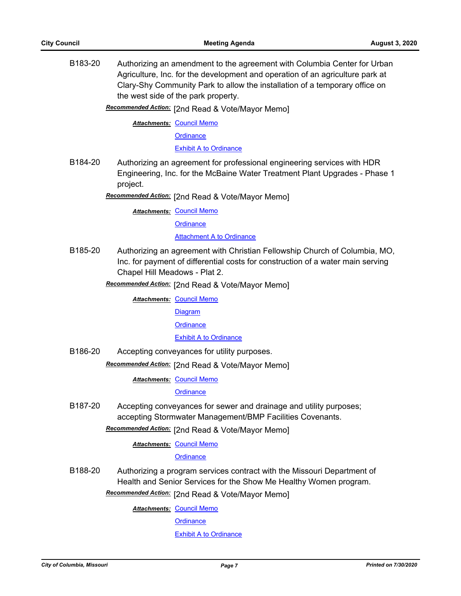B183-20 Authorizing an amendment to the agreement with Columbia Center for Urban Agriculture, Inc. for the development and operation of an agriculture park at Clary-Shy Community Park to allow the installation of a temporary office on the west side of the park property.

Recommended Action: [2nd Read & Vote/Mayor Memo]

**Attachments: [Council Memo](http://gocolumbiamo.legistar.com/gateway.aspx?M=F&ID=3c0802e0-382a-48ce-9f6d-03e371313ec9.docx)** 

**[Ordinance](http://gocolumbiamo.legistar.com/gateway.aspx?M=F&ID=b394be47-e142-4772-bcef-d2c8497431b3.doc)** 

[Exhibit A to Ordinance](http://gocolumbiamo.legistar.com/gateway.aspx?M=F&ID=924e7ba9-df85-470d-8d3c-936fb62953c8.pdf)

B184-20 Authorizing an agreement for professional engineering services with HDR Engineering, Inc. for the McBaine Water Treatment Plant Upgrades - Phase 1 project.

Recommended Action: [2nd Read & Vote/Mayor Memo]

**Attachments: [Council Memo](http://gocolumbiamo.legistar.com/gateway.aspx?M=F&ID=01b41364-8cb3-44d9-9661-c0ce7456fec2.docx)** 

**[Ordinance](http://gocolumbiamo.legistar.com/gateway.aspx?M=F&ID=1174bffd-eafd-4b9f-bc79-7e00c470a7b8.doc)** 

**[Attachment A to Ordinance](http://gocolumbiamo.legistar.com/gateway.aspx?M=F&ID=e0c186fe-0679-4473-981d-e47924d67e09.pdf)** 

- B185-20 Authorizing an agreement with Christian Fellowship Church of Columbia, MO, Inc. for payment of differential costs for construction of a water main serving Chapel Hill Meadows - Plat 2.
	- Recommended Action: [2nd Read & Vote/Mayor Memo]

**Attachments: [Council Memo](http://gocolumbiamo.legistar.com/gateway.aspx?M=F&ID=3e9ddf6b-ccdc-4221-b3e5-16292dcef57e.docx)** 

**[Diagram](http://gocolumbiamo.legistar.com/gateway.aspx?M=F&ID=a62ff8c8-1e09-44eb-bf92-b3d70d195382.pdf)** 

**[Ordinance](http://gocolumbiamo.legistar.com/gateway.aspx?M=F&ID=3093203a-a4b7-48aa-9886-b509484a6514.doc)** 

## [Exhibit A to Ordinance](http://gocolumbiamo.legistar.com/gateway.aspx?M=F&ID=7863a2d1-494a-440c-a2f5-821b9dcfd4e0.pdf)

B186-20 Accepting conveyances for utility purposes.

**Recommended Action:** [2nd Read & Vote/Mayor Memo]

**Attachments: [Council Memo](http://gocolumbiamo.legistar.com/gateway.aspx?M=F&ID=57429051-0026-4bfa-a29f-20fcec367144.docx)** 

**[Ordinance](http://gocolumbiamo.legistar.com/gateway.aspx?M=F&ID=cfe2d257-fe72-40dd-b75a-8e343c8257b6.doc)** 

B187-20 Accepting conveyances for sewer and drainage and utility purposes; accepting Stormwater Management/BMP Facilities Covenants.

Recommended Action: [2nd Read & Vote/Mayor Memo]

**Attachments: [Council Memo](http://gocolumbiamo.legistar.com/gateway.aspx?M=F&ID=527bc5d9-2389-48da-96dd-2b9779e14188.docx)** 

**[Ordinance](http://gocolumbiamo.legistar.com/gateway.aspx?M=F&ID=468d311f-6c3c-4011-871a-537c5aa459a9.doc)** 

B188-20 Authorizing a program services contract with the Missouri Department of Health and Senior Services for the Show Me Healthy Women program.

Recommended Action: [2nd Read & Vote/Mayor Memo]

**Attachments: [Council Memo](http://gocolumbiamo.legistar.com/gateway.aspx?M=F&ID=20f9ed32-e16d-4fee-8911-b45d70c759c7.docx)** 

**[Ordinance](http://gocolumbiamo.legistar.com/gateway.aspx?M=F&ID=7e82a1c8-582f-476f-9ead-36e7193f22f9.doc)**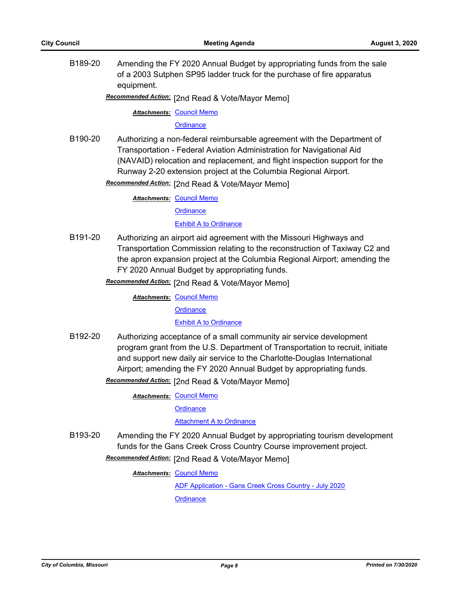B189-20 Amending the FY 2020 Annual Budget by appropriating funds from the sale of a 2003 Sutphen SP95 ladder truck for the purchase of fire apparatus equipment.

Recommended Action: [2nd Read & Vote/Mayor Memo]

**Attachments: [Council Memo](http://gocolumbiamo.legistar.com/gateway.aspx?M=F&ID=b446e0c8-266f-4bae-92da-f1fcbd11203b.docx)** 

**[Ordinance](http://gocolumbiamo.legistar.com/gateway.aspx?M=F&ID=d61f2414-9df5-43bc-b6ff-b6416d249d05.doc)** 

B190-20 Authorizing a non-federal reimbursable agreement with the Department of Transportation - Federal Aviation Administration for Navigational Aid (NAVAID) relocation and replacement, and flight inspection support for the Runway 2-20 extension project at the Columbia Regional Airport.

Recommended Action: [2nd Read & Vote/Mayor Memo]

**Attachments: [Council Memo](http://gocolumbiamo.legistar.com/gateway.aspx?M=F&ID=aa9778f0-42be-4102-b13a-3955b8b96b2e.docx)** 

**[Ordinance](http://gocolumbiamo.legistar.com/gateway.aspx?M=F&ID=9b5f6f31-91d7-487f-b22f-cef636bd6261.doc)** 

**[Exhibit A to Ordinance](http://gocolumbiamo.legistar.com/gateway.aspx?M=F&ID=246886fc-89db-498a-b643-83202c62a0ac.pdf)** 

B191-20 Authorizing an airport aid agreement with the Missouri Highways and Transportation Commission relating to the reconstruction of Taxiway C2 and the apron expansion project at the Columbia Regional Airport; amending the FY 2020 Annual Budget by appropriating funds.

Recommended Action: [2nd Read & Vote/Mayor Memo]

**Attachments: [Council Memo](http://gocolumbiamo.legistar.com/gateway.aspx?M=F&ID=a5639b0f-392a-4267-9681-7313a5ced5e4.docx) [Ordinance](http://gocolumbiamo.legistar.com/gateway.aspx?M=F&ID=c93620a1-f831-4e32-826e-5f4d9e9036d6.doc)** [Exhibit A to Ordinance](http://gocolumbiamo.legistar.com/gateway.aspx?M=F&ID=98d44ce7-963b-4b18-bc06-07726ba52e91.pdf)

B192-20 Authorizing acceptance of a small community air service development program grant from the U.S. Department of Transportation to recruit, initiate and support new daily air service to the Charlotte-Douglas International Airport; amending the FY 2020 Annual Budget by appropriating funds.

Recommended Action: [2nd Read & Vote/Mayor Memo]

**Attachments: [Council Memo](http://gocolumbiamo.legistar.com/gateway.aspx?M=F&ID=53255019-ddb5-41ba-b1b6-2e2ac920a970.docx)** 

**[Ordinance](http://gocolumbiamo.legistar.com/gateway.aspx?M=F&ID=f9fd870a-361a-414d-9329-659d8bbdef55.doc)** 

[Attachment A to Ordinance](http://gocolumbiamo.legistar.com/gateway.aspx?M=F&ID=095bbd92-4389-43ec-9f37-48b12a73cfb7.pdf)

B193-20 Amending the FY 2020 Annual Budget by appropriating tourism development funds for the Gans Creek Cross Country Course improvement project.

Recommended Action: [2nd Read & Vote/Mayor Memo]

**Attachments: [Council Memo](http://gocolumbiamo.legistar.com/gateway.aspx?M=F&ID=fd175d52-5e73-469e-b038-3db77f8865bd.docx)** 

[ADF Application - Gans Creek Cross Country - July 2020](http://gocolumbiamo.legistar.com/gateway.aspx?M=F&ID=d0cb2626-3f93-4c06-a538-f426317849dc.pdf)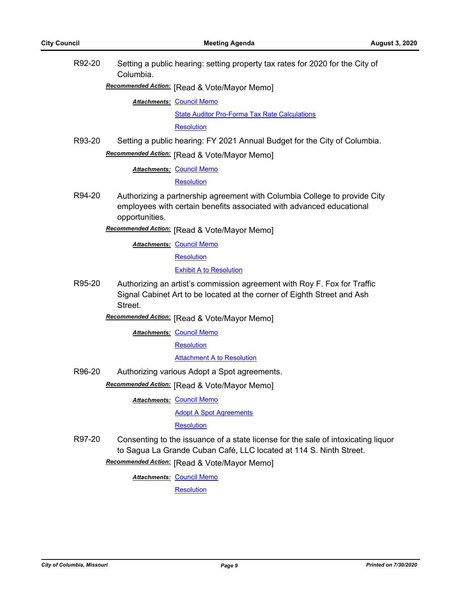| R92-20 | Columbia.                                                                                                                                                      | Setting a public hearing: setting property tax rates for 2020 for the City of                                                                     |  |  |
|--------|----------------------------------------------------------------------------------------------------------------------------------------------------------------|---------------------------------------------------------------------------------------------------------------------------------------------------|--|--|
|        |                                                                                                                                                                | Recommended Action: [Read & Vote/Mayor Memo]                                                                                                      |  |  |
|        |                                                                                                                                                                | <b>Attachments: Council Memo</b>                                                                                                                  |  |  |
|        |                                                                                                                                                                | <b>State Auditor Pro-Forma Tax Rate Calculations</b>                                                                                              |  |  |
|        |                                                                                                                                                                | <b>Resolution</b>                                                                                                                                 |  |  |
| R93-20 |                                                                                                                                                                | Setting a public hearing: FY 2021 Annual Budget for the City of Columbia.                                                                         |  |  |
|        |                                                                                                                                                                | Recommended Action: [Read & Vote/Mayor Memo]                                                                                                      |  |  |
|        |                                                                                                                                                                | <b>Attachments: Council Memo</b>                                                                                                                  |  |  |
|        |                                                                                                                                                                | <b>Resolution</b>                                                                                                                                 |  |  |
| R94-20 | opportunities.                                                                                                                                                 | Authorizing a partnership agreement with Columbia College to provide City<br>employees with certain benefits associated with advanced educational |  |  |
|        |                                                                                                                                                                | Recommended Action: [Read & Vote/Mayor Memo]                                                                                                      |  |  |
|        |                                                                                                                                                                | <b>Attachments: Council Memo</b>                                                                                                                  |  |  |
|        |                                                                                                                                                                | Resolution                                                                                                                                        |  |  |
|        |                                                                                                                                                                | <b>Exhibit A to Resolution</b>                                                                                                                    |  |  |
| R95-20 | Authorizing an artist's commission agreement with Roy F. Fox for Traffic<br>Signal Cabinet Art to be located at the corner of Eighth Street and Ash<br>Street. |                                                                                                                                                   |  |  |
|        |                                                                                                                                                                | Recommended Action: [Read & Vote/Mayor Memo]                                                                                                      |  |  |
|        |                                                                                                                                                                | <b>Attachments: Council Memo</b>                                                                                                                  |  |  |
|        |                                                                                                                                                                | Resolution                                                                                                                                        |  |  |
|        |                                                                                                                                                                | <b>Attachment A to Resolution</b>                                                                                                                 |  |  |
| R96-20 | Authorizing various Adopt a Spot agreements.                                                                                                                   |                                                                                                                                                   |  |  |
|        |                                                                                                                                                                | Recommended Action: [Read & Vote/Mayor Memo]                                                                                                      |  |  |
|        |                                                                                                                                                                | <b>Attachments: Council Memo</b>                                                                                                                  |  |  |
|        |                                                                                                                                                                | <b>Adopt A Spot Agreements</b>                                                                                                                    |  |  |
|        |                                                                                                                                                                | Resolution                                                                                                                                        |  |  |
| R97-20 | Consenting to the issuance of a state license for the sale of intoxicating liquor<br>to Sagua La Grande Cuban Café, LLC located at 114 S. Ninth Street.        |                                                                                                                                                   |  |  |
|        |                                                                                                                                                                | Recommended Action: [Read & Vote/Mayor Memo]                                                                                                      |  |  |
|        |                                                                                                                                                                | <b>Attachments: Council Memo</b>                                                                                                                  |  |  |
|        |                                                                                                                                                                | Resolution                                                                                                                                        |  |  |
|        |                                                                                                                                                                |                                                                                                                                                   |  |  |
|        |                                                                                                                                                                |                                                                                                                                                   |  |  |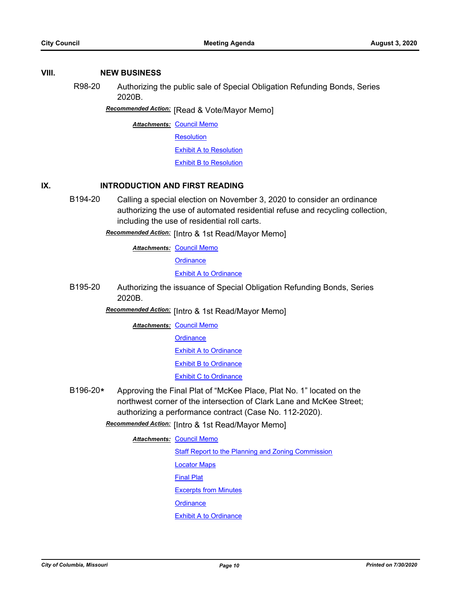### **VIII. NEW BUSINESS**

R98-20 Authorizing the public sale of Special Obligation Refunding Bonds, Series 2020B.

**Recommended Action:** [Read & Vote/Mayor Memo]

**Attachments: [Council Memo](http://gocolumbiamo.legistar.com/gateway.aspx?M=F&ID=aeac3421-cd0a-4ffd-af70-faaad7a9a193.docx)** 

**[Resolution](http://gocolumbiamo.legistar.com/gateway.aspx?M=F&ID=2bf64ecf-f261-4330-b7d1-a885e66e72f5.doc)** 

[Exhibit A to Resolution](http://gocolumbiamo.legistar.com/gateway.aspx?M=F&ID=d01497de-eadb-4c44-bc87-b464199d7a4d.pdf)

[Exhibit B to Resolution](http://gocolumbiamo.legistar.com/gateway.aspx?M=F&ID=35254d45-d391-46ff-80a2-56a8d56a7632.pdf)

## **IX. INTRODUCTION AND FIRST READING**

B194-20 Calling a special election on November 3, 2020 to consider an ordinance authorizing the use of automated residential refuse and recycling collection, including the use of residential roll carts.

**Recommended Action:** [Intro & 1st Read/Mayor Memo]

**Attachments: [Council Memo](http://gocolumbiamo.legistar.com/gateway.aspx?M=F&ID=afdbd20d-45c3-4afc-8bf9-d9274360408d.docx)** 

**[Ordinance](http://gocolumbiamo.legistar.com/gateway.aspx?M=F&ID=7f4d6ca3-2b3a-486b-afdd-e36658ab6920.doc)** 

**[Exhibit A to Ordinance](http://gocolumbiamo.legistar.com/gateway.aspx?M=F&ID=5848fd8d-3b4f-4356-b7a4-74c8542de111.doc)** 

B195-20 Authorizing the issuance of Special Obligation Refunding Bonds, Series 2020B.

Recommended Action: [Intro & 1st Read/Mayor Memo]

**Attachments: [Council Memo](http://gocolumbiamo.legistar.com/gateway.aspx?M=F&ID=26433b1c-6424-4919-9d98-3c0bfb1036e8.docx)** 

**[Ordinance](http://gocolumbiamo.legistar.com/gateway.aspx?M=F&ID=b43e255d-87f3-485d-88e2-abdfa113a633.doc)** 

**[Exhibit A to Ordinance](http://gocolumbiamo.legistar.com/gateway.aspx?M=F&ID=c6e4a2ac-8845-4fb3-9945-1d670683c37b.pdf)** 

**[Exhibit B to Ordinance](http://gocolumbiamo.legistar.com/gateway.aspx?M=F&ID=32a70407-3112-473a-b09f-1bc47d7b835b.pdf)** 

**[Exhibit C to Ordinance](http://gocolumbiamo.legistar.com/gateway.aspx?M=F&ID=875456d7-03ee-4f7e-8bb6-5b6b7bb1e3d1.pdf)** 

B196-20**\*** Approving the Final Plat of "McKee Place, Plat No. 1" located on the northwest corner of the intersection of Clark Lane and McKee Street; authorizing a performance contract (Case No. 112-2020).

**Recommended Action:** [Intro & 1st Read/Mayor Memo]

**Attachments: [Council Memo](http://gocolumbiamo.legistar.com/gateway.aspx?M=F&ID=a83ed433-9fe6-4650-8d72-c38203c9b651.docx)** 

**[Staff Report to the Planning and Zoning Commission](http://gocolumbiamo.legistar.com/gateway.aspx?M=F&ID=02170fb3-380f-4dd3-a55a-973e772a9496.docx)** 

[Locator Maps](http://gocolumbiamo.legistar.com/gateway.aspx?M=F&ID=f8b49de5-f7a1-40bd-9c01-6bd3072444f1.pdf)

[Final Plat](http://gocolumbiamo.legistar.com/gateway.aspx?M=F&ID=def63ed7-18c7-4f36-bfd5-133bc2e2dfa9.pdf)

[Excerpts from Minutes](http://gocolumbiamo.legistar.com/gateway.aspx?M=F&ID=b8888977-5932-457d-aaec-b79f13cef91b.docx)

**[Ordinance](http://gocolumbiamo.legistar.com/gateway.aspx?M=F&ID=66aa76f6-2318-44fd-ba76-e6322e2ca88e.doc)**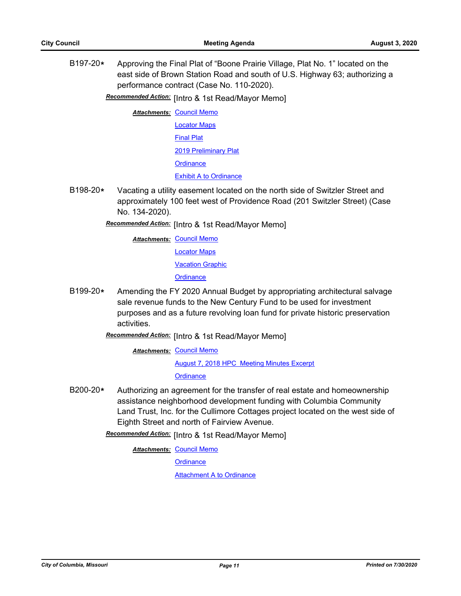B197-20**\*** Approving the Final Plat of "Boone Prairie Village, Plat No. 1" located on the east side of Brown Station Road and south of U.S. Highway 63; authorizing a performance contract (Case No. 110-2020).

**Recommended Action:** [Intro & 1st Read/Mayor Memo]

**Attachments: [Council Memo](http://gocolumbiamo.legistar.com/gateway.aspx?M=F&ID=6b9c2e5f-fe5a-4e99-ae60-4f74870507a5.docx)** [Locator Maps](http://gocolumbiamo.legistar.com/gateway.aspx?M=F&ID=4010280e-3da5-481f-8595-6f1a83a35a0b.pdf) [Final Plat](http://gocolumbiamo.legistar.com/gateway.aspx?M=F&ID=e2da86e0-55c7-4a58-9ec6-de077ac94c11.pdf) [2019 Preliminary Plat](http://gocolumbiamo.legistar.com/gateway.aspx?M=F&ID=ac75fdc2-eda5-4e8b-8043-67ddcbb45ad9.pdf) **[Ordinance](http://gocolumbiamo.legistar.com/gateway.aspx?M=F&ID=5cb971ef-694a-414e-9cbd-4acdbba24fc4.doc)** [Exhibit A to Ordinance](http://gocolumbiamo.legistar.com/gateway.aspx?M=F&ID=b8af09cb-a76c-400b-a877-5eea04f4d4a8.pdf)

B198-20**\*** Vacating a utility easement located on the north side of Switzler Street and approximately 100 feet west of Providence Road (201 Switzler Street) (Case No. 134-2020).

# **Recommended Action:** [Intro & 1st Read/Mayor Memo]

**Attachments: [Council Memo](http://gocolumbiamo.legistar.com/gateway.aspx?M=F&ID=f106296a-5162-4059-b210-5df1c765a3f5.docx)** 

[Locator Maps](http://gocolumbiamo.legistar.com/gateway.aspx?M=F&ID=f128a0b4-3c68-4a2f-ae0d-db036fb589b4.pdf)

[Vacation Graphic](http://gocolumbiamo.legistar.com/gateway.aspx?M=F&ID=32e0d84d-b58e-4bd6-a5c4-cfe5a4c0bcb5.pdf)

**[Ordinance](http://gocolumbiamo.legistar.com/gateway.aspx?M=F&ID=cca5e137-e7c5-41d9-88b0-453b6210d660.doc)** 

- B199-20**\*** Amending the FY 2020 Annual Budget by appropriating architectural salvage sale revenue funds to the New Century Fund to be used for investment purposes and as a future revolving loan fund for private historic preservation activities.
	- Recommended Action: [Intro & 1st Read/Mayor Memo]

**Attachments: [Council Memo](http://gocolumbiamo.legistar.com/gateway.aspx?M=F&ID=2a255a49-3c35-433f-aa51-0a5a680114c4.docx)** 

[August 7, 2018 HPC Meeting Minutes Excerpt](http://gocolumbiamo.legistar.com/gateway.aspx?M=F&ID=0f60a68b-b25a-49b9-ae0d-0e8a6ad6042e.pdf)

**[Ordinance](http://gocolumbiamo.legistar.com/gateway.aspx?M=F&ID=16840c08-d79b-423e-b16f-1e9d101ce9d5.doc)** 

B200-20**\*** Authorizing an agreement for the transfer of real estate and homeownership assistance neighborhood development funding with Columbia Community Land Trust, Inc. for the Cullimore Cottages project located on the west side of Eighth Street and north of Fairview Avenue.

Recommended Action: [Intro & 1st Read/Mayor Memo]

**Attachments: [Council Memo](http://gocolumbiamo.legistar.com/gateway.aspx?M=F&ID=87888213-288e-4a85-8da8-1ca17493d7f8.docx)** 

**[Ordinance](http://gocolumbiamo.legistar.com/gateway.aspx?M=F&ID=56880672-2e55-4219-b5a4-3539f2d33a7e.doc)** 

**[Attachment A to Ordinance](http://gocolumbiamo.legistar.com/gateway.aspx?M=F&ID=310b827a-b4eb-4a19-8a6a-2def97a90495.pdf)**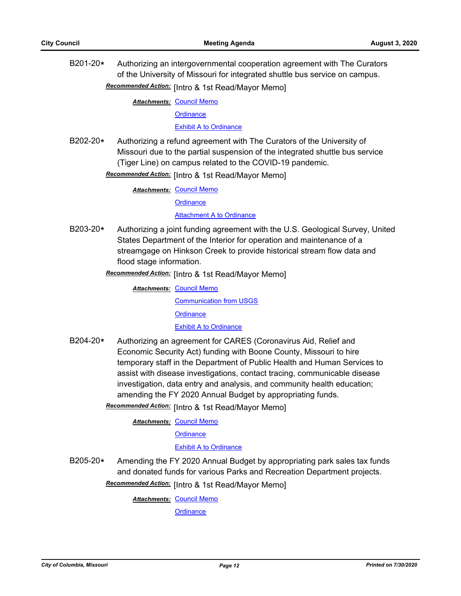B201-20**\*** Authorizing an intergovernmental cooperation agreement with The Curators of the University of Missouri for integrated shuttle bus service on campus.

Recommended Action: [Intro & 1st Read/Mayor Memo]

**Attachments: [Council Memo](http://gocolumbiamo.legistar.com/gateway.aspx?M=F&ID=7610d3b2-3d46-4dff-b031-1f9c5f4c1e4e.docx)** 

**[Ordinance](http://gocolumbiamo.legistar.com/gateway.aspx?M=F&ID=d75426d7-8d94-482e-b03f-071b0d59a085.doc)** 

[Exhibit A to Ordinance](http://gocolumbiamo.legistar.com/gateway.aspx?M=F&ID=1b895211-054e-4183-83d4-c14c157d3274.pdf)

B202-20**\*** Authorizing a refund agreement with The Curators of the University of Missouri due to the partial suspension of the integrated shuttle bus service (Tiger Line) on campus related to the COVID-19 pandemic.

Recommended Action: [Intro & 1st Read/Mayor Memo]

**Attachments: [Council Memo](http://gocolumbiamo.legistar.com/gateway.aspx?M=F&ID=9a20e537-ffc1-4a65-900e-a1069f34892a.docx)** 

**Attachments: [Council Memo](http://gocolumbiamo.legistar.com/gateway.aspx?M=F&ID=b3113d2b-a49b-4123-9ed6-c682b6901728.docx)** 

**[Ordinance](http://gocolumbiamo.legistar.com/gateway.aspx?M=F&ID=f37582e5-ad1f-45e7-ba8f-9f38cd0d034a.doc)** 

[Attachment A to Ordinance](http://gocolumbiamo.legistar.com/gateway.aspx?M=F&ID=90200964-85db-407e-a76c-f30b6c68f01a.pdf)

B203-20**\*** Authorizing a joint funding agreement with the U.S. Geological Survey, United States Department of the Interior for operation and maintenance of a streamgage on Hinkson Creek to provide historical stream flow data and flood stage information.

Recommended Action: [Intro & 1st Read/Mayor Memo]

[Communication from USGS](http://gocolumbiamo.legistar.com/gateway.aspx?M=F&ID=ae9804fa-12ea-491f-8637-29fdad3e1afb.pdf) **[Ordinance](http://gocolumbiamo.legistar.com/gateway.aspx?M=F&ID=9233bff5-7704-4738-bd49-16cb264b2b9e.doc)** [Exhibit A to Ordinance](http://gocolumbiamo.legistar.com/gateway.aspx?M=F&ID=a95f5d77-1220-42ae-a1ff-3c697b9610ab.pdf)

B204-20**\*** Authorizing an agreement for CARES (Coronavirus Aid, Relief and Economic Security Act) funding with Boone County, Missouri to hire temporary staff in the Department of Public Health and Human Services to assist with disease investigations, contact tracing, communicable disease investigation, data entry and analysis, and community health education; amending the FY 2020 Annual Budget by appropriating funds.

Recommended Action: [Intro & 1st Read/Mayor Memo]

**Attachments: [Council Memo](http://gocolumbiamo.legistar.com/gateway.aspx?M=F&ID=bca31dab-1ccd-41ca-bc2a-845c3550c524.docx)** 

**[Ordinance](http://gocolumbiamo.legistar.com/gateway.aspx?M=F&ID=d71d1a1e-a2ec-49dd-b968-1c47618fe6c9.doc)** 

[Exhibit A to Ordinance](http://gocolumbiamo.legistar.com/gateway.aspx?M=F&ID=8cf73c08-0154-4bee-bbbb-2aec8b2e584e.pdf)

B205-20**\*** Amending the FY 2020 Annual Budget by appropriating park sales tax funds and donated funds for various Parks and Recreation Department projects.

Recommended Action: [Intro & 1st Read/Mayor Memo]

**Attachments: [Council Memo](http://gocolumbiamo.legistar.com/gateway.aspx?M=F&ID=7becd043-8735-4715-8797-03147240f1a7.docx)**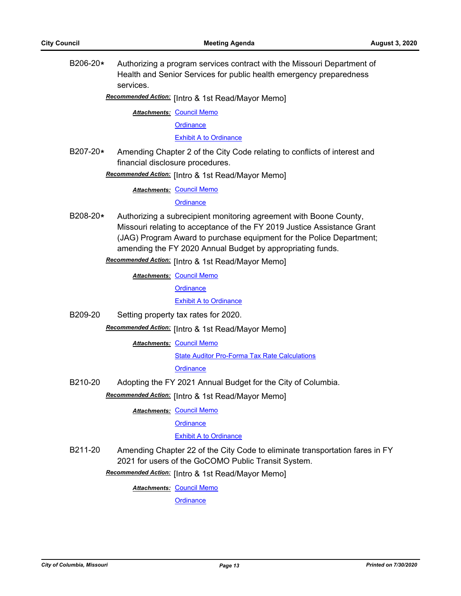B206-20**\*** Authorizing a program services contract with the Missouri Department of Health and Senior Services for public health emergency preparedness services.

Recommended Action: [Intro & 1st Read/Mayor Memo]

**Attachments: [Council Memo](http://gocolumbiamo.legistar.com/gateway.aspx?M=F&ID=5c6f0600-b3d7-4da3-953d-b0a0505fffbf.docx)** 

**[Ordinance](http://gocolumbiamo.legistar.com/gateway.aspx?M=F&ID=4155a9f5-a81a-4597-9b0c-2f25f491a8f3.doc)** 

[Exhibit A to Ordinance](http://gocolumbiamo.legistar.com/gateway.aspx?M=F&ID=6da355f6-3aef-429f-b53d-3b4d905b43c6.pdf)

B207-20**\*** Amending Chapter 2 of the City Code relating to conflicts of interest and financial disclosure procedures.

**Recommended Action:** [Intro & 1st Read/Mayor Memo]

**Attachments: [Council Memo](http://gocolumbiamo.legistar.com/gateway.aspx?M=F&ID=b0bd67de-7ae3-4ac8-88c1-5a693ed08672.docx)** 

**[Ordinance](http://gocolumbiamo.legistar.com/gateway.aspx?M=F&ID=abda83a8-33b6-45a4-9fb3-e2755c716c5d.doc)** 

B208-20**\*** Authorizing a subrecipient monitoring agreement with Boone County, Missouri relating to acceptance of the FY 2019 Justice Assistance Grant (JAG) Program Award to purchase equipment for the Police Department; amending the FY 2020 Annual Budget by appropriating funds.

**Recommended Action:** [Intro & 1st Read/Mayor Memo]

**Attachments: [Council Memo](http://gocolumbiamo.legistar.com/gateway.aspx?M=F&ID=6e9105b3-0746-4f53-b2da-fcb1f2e8ce47.docx)** 

**[Ordinance](http://gocolumbiamo.legistar.com/gateway.aspx?M=F&ID=c6b447cd-add9-49b7-9745-38bf50cef3fe.doc)** 

[Exhibit A to Ordinance](http://gocolumbiamo.legistar.com/gateway.aspx?M=F&ID=119921a2-6250-41c0-8ebd-75f27820b6a1.pdf)

B209-20 Setting property tax rates for 2020.

Recommended Action: [Intro & 1st Read/Mayor Memo]

**Attachments: [Council Memo](http://gocolumbiamo.legistar.com/gateway.aspx?M=F&ID=16827476-6874-4834-a07d-47d5caf6acf7.docx)** 

[State Auditor Pro-Forma Tax Rate Calculations](http://gocolumbiamo.legistar.com/gateway.aspx?M=F&ID=5c4e799a-5fc9-4493-8bc5-6b0da0eb16b5.pdf)

**[Ordinance](http://gocolumbiamo.legistar.com/gateway.aspx?M=F&ID=b6fb2824-c409-430a-b377-394a685e1f41.doc)** 

B210-20 Adopting the FY 2021 Annual Budget for the City of Columbia.

**Recommended Action:** [Intro & 1st Read/Mayor Memo]

**Attachments: [Council Memo](http://gocolumbiamo.legistar.com/gateway.aspx?M=F&ID=6f868418-05d8-41f0-a419-1da3fc3edd67.docx)** 

**[Ordinance](http://gocolumbiamo.legistar.com/gateway.aspx?M=F&ID=eeac5dac-44be-47f0-8ef2-5a40db850e0e.doc)** 

#### [Exhibit A to Ordinance](http://gocolumbiamo.legistar.com/gateway.aspx?M=F&ID=9be89b31-824f-408b-831d-ddee943a280e.pdf)

B211-20 Amending Chapter 22 of the City Code to eliminate transportation fares in FY 2021 for users of the GoCOMO Public Transit System.

Recommended Action: [Intro & 1st Read/Mayor Memo]

**Attachments: [Council Memo](http://gocolumbiamo.legistar.com/gateway.aspx?M=F&ID=98e92b60-1397-4b7a-a6f6-d6570afa4d80.docx)**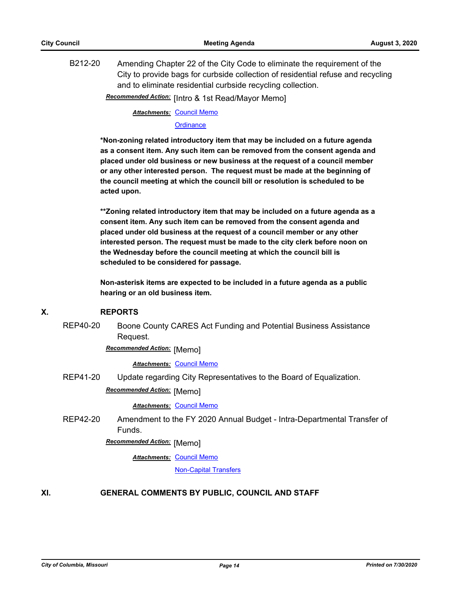B212-20 Amending Chapter 22 of the City Code to eliminate the requirement of the City to provide bags for curbside collection of residential refuse and recycling and to eliminate residential curbside recycling collection.

**Recommended Action:** [Intro & 1st Read/Mayor Memo]

**Attachments: [Council Memo](http://gocolumbiamo.legistar.com/gateway.aspx?M=F&ID=9741ac63-c888-4360-88ca-c84c84b26c4d.docx)** 

**[Ordinance](http://gocolumbiamo.legistar.com/gateway.aspx?M=F&ID=e80553de-ec63-439c-b61e-b7ae21c6400d.doc)** 

**\*Non-zoning related introductory item that may be included on a future agenda as a consent item. Any such item can be removed from the consent agenda and placed under old business or new business at the request of a council member or any other interested person. The request must be made at the beginning of the council meeting at which the council bill or resolution is scheduled to be acted upon.** 

**\*\*Zoning related introductory item that may be included on a future agenda as a consent item. Any such item can be removed from the consent agenda and placed under old business at the request of a council member or any other interested person. The request must be made to the city clerk before noon on the Wednesday before the council meeting at which the council bill is scheduled to be considered for passage.**

**Non-asterisk items are expected to be included in a future agenda as a public hearing or an old business item.**

#### **X. REPORTS**

REP40-20 Boone County CARES Act Funding and Potential Business Assistance Request.

**Recommended Action: [Memo]** 

*Attachments:* [Council Memo](http://gocolumbiamo.legistar.com/gateway.aspx?M=F&ID=e1ba15bb-427a-45c0-9d19-912909d5d4c9.docx)

REP41-20 Update regarding City Representatives to the Board of Equalization.

**Recommended Action:** [Memo]

*Attachments:* [Council Memo](http://gocolumbiamo.legistar.com/gateway.aspx?M=F&ID=f1189e35-110d-41c2-8e32-99b947811e41.docx)

REP42-20 Amendment to the FY 2020 Annual Budget - Intra-Departmental Transfer of Funds.

**Recommended Action:** [Memo]

**Attachments: [Council Memo](http://gocolumbiamo.legistar.com/gateway.aspx?M=F&ID=0fbbaea4-6143-4a00-a8d7-5f2e446f9119.docx)** 

[Non-Capital Transfers](http://gocolumbiamo.legistar.com/gateway.aspx?M=F&ID=82ca133b-23d7-4c55-8a85-93137e9a8b9d.pdf)

## **XI. GENERAL COMMENTS BY PUBLIC, COUNCIL AND STAFF**